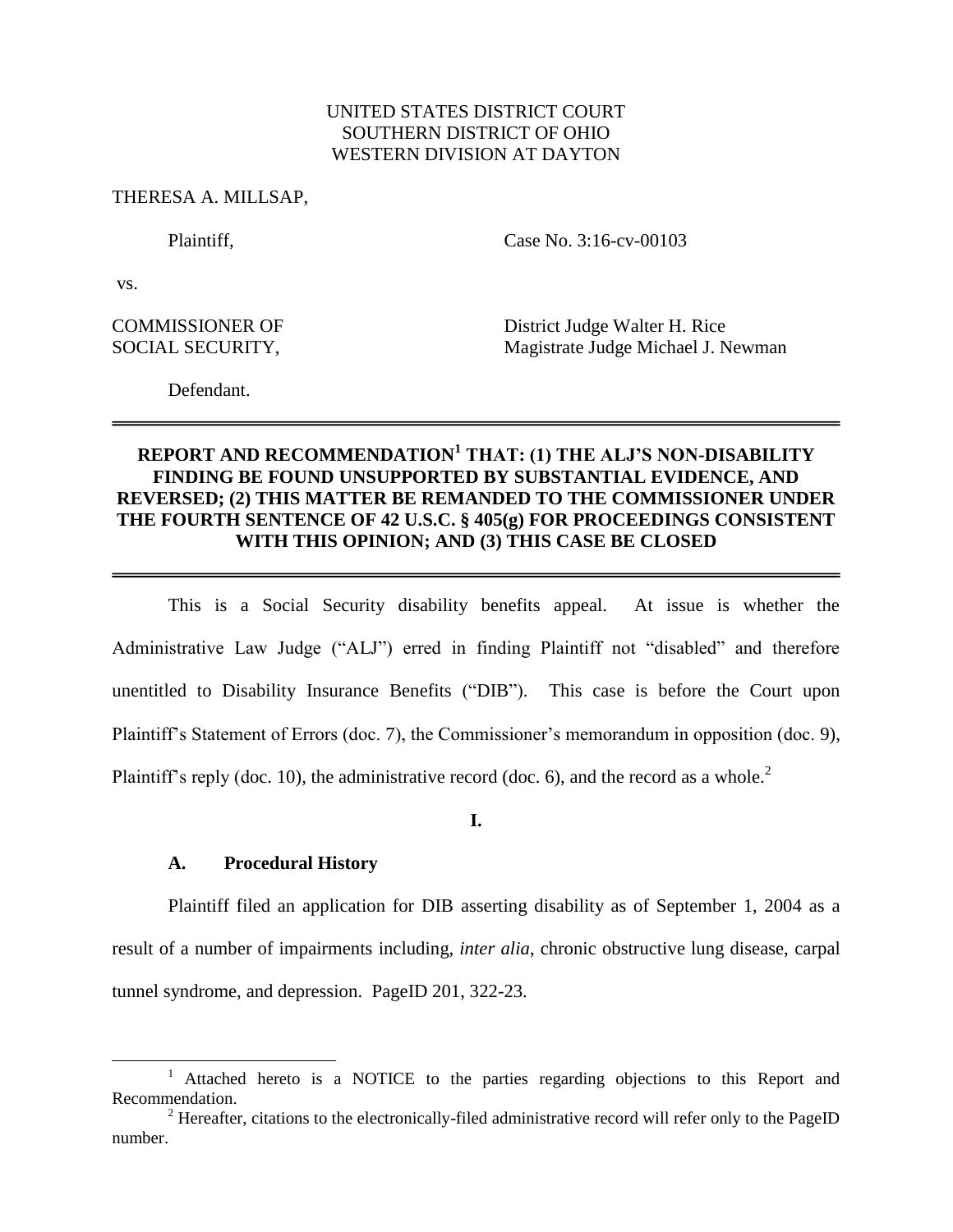## UNITED STATES DISTRICT COURT SOUTHERN DISTRICT OF OHIO WESTERN DIVISION AT DAYTON

#### THERESA A. MILLSAP,

Plaintiff, Case No. 3:16-cv-00103

vs.

l

COMMISSIONER OF District Judge Walter H. Rice SOCIAL SECURITY, Magistrate Judge Michael J. Newman

Defendant.

# **REPORT AND RECOMMENDATION<sup>1</sup> THAT: (1) THE ALJ'S NON-DISABILITY FINDING BE FOUND UNSUPPORTED BY SUBSTANTIAL EVIDENCE, AND REVERSED; (2) THIS MATTER BE REMANDED TO THE COMMISSIONER UNDER THE FOURTH SENTENCE OF 42 U.S.C. § 405(g) FOR PROCEEDINGS CONSISTENT WITH THIS OPINION; AND (3) THIS CASE BE CLOSED**

This is a Social Security disability benefits appeal. At issue is whether the Administrative Law Judge ("ALJ") erred in finding Plaintiff not "disabled" and therefore unentitled to Disability Insurance Benefits ("DIB"). This case is before the Court upon Plaintiff's Statement of Errors (doc. 7), the Commissioner's memorandum in opposition (doc. 9), Plaintiff's reply (doc. 10), the administrative record (doc. 6), and the record as a whole.<sup>2</sup>

**I.**

### **A. Procedural History**

Plaintiff filed an application for DIB asserting disability as of September 1, 2004 as a result of a number of impairments including, *inter alia*, chronic obstructive lung disease, carpal tunnel syndrome, and depression. PageID 201, 322-23.

<sup>&</sup>lt;sup>1</sup> Attached hereto is a NOTICE to the parties regarding objections to this Report and Recommendation.

<sup>&</sup>lt;sup>2</sup> Hereafter, citations to the electronically-filed administrative record will refer only to the PageID number.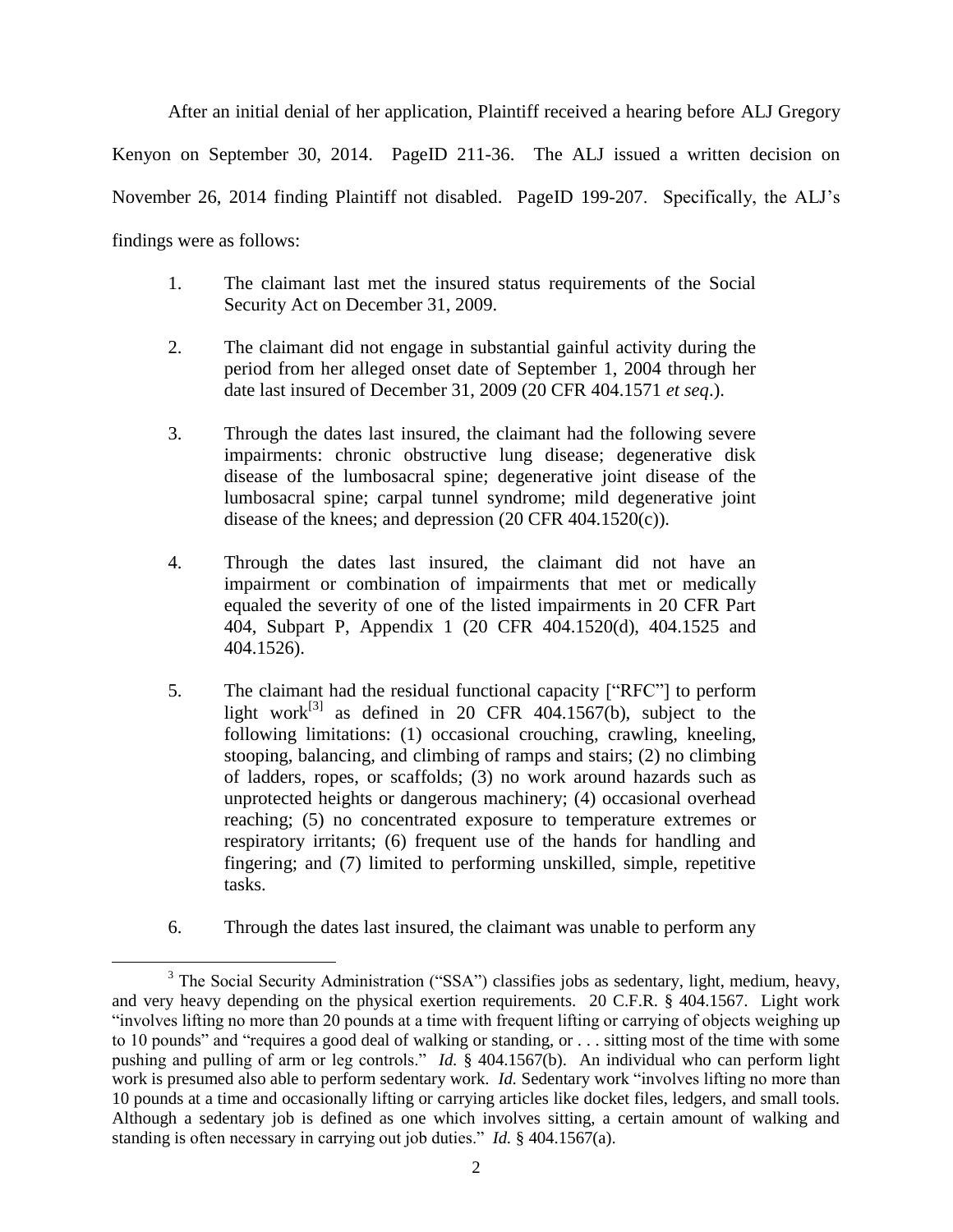After an initial denial of her application, Plaintiff received a hearing before ALJ Gregory Kenyon on September 30, 2014. PageID 211-36. The ALJ issued a written decision on November 26, 2014 finding Plaintiff not disabled. PageID 199-207. Specifically, the ALJ's findings were as follows:

- 1. The claimant last met the insured status requirements of the Social Security Act on December 31, 2009.
- 2. The claimant did not engage in substantial gainful activity during the period from her alleged onset date of September 1, 2004 through her date last insured of December 31, 2009 (20 CFR 404.1571 *et seq*.).
- 3. Through the dates last insured, the claimant had the following severe impairments: chronic obstructive lung disease; degenerative disk disease of the lumbosacral spine; degenerative joint disease of the lumbosacral spine; carpal tunnel syndrome; mild degenerative joint disease of the knees; and depression (20 CFR 404.1520(c)).
- 4. Through the dates last insured, the claimant did not have an impairment or combination of impairments that met or medically equaled the severity of one of the listed impairments in 20 CFR Part 404, Subpart P, Appendix 1 (20 CFR 404.1520(d), 404.1525 and 404.1526).
- 5. The claimant had the residual functional capacity ["RFC"] to perform light work<sup>[3]</sup> as defined in 20 CFR 404.1567(b), subject to the following limitations: (1) occasional crouching, crawling, kneeling, stooping, balancing, and climbing of ramps and stairs; (2) no climbing of ladders, ropes, or scaffolds; (3) no work around hazards such as unprotected heights or dangerous machinery; (4) occasional overhead reaching; (5) no concentrated exposure to temperature extremes or respiratory irritants; (6) frequent use of the hands for handling and fingering; and (7) limited to performing unskilled, simple, repetitive tasks.
- 6. Through the dates last insured, the claimant was unable to perform any

 $\overline{\phantom{a}}$ <sup>3</sup> The Social Security Administration ("SSA") classifies jobs as sedentary, light, medium, heavy, and very heavy depending on the physical exertion requirements. 20 C.F.R. § 404.1567. Light work "involves lifting no more than 20 pounds at a time with frequent lifting or carrying of objects weighing up to 10 pounds" and "requires a good deal of walking or standing, or . . . sitting most of the time with some pushing and pulling of arm or leg controls." *Id.* § 404.1567(b). An individual who can perform light work is presumed also able to perform sedentary work. *Id.* Sedentary work "involves lifting no more than 10 pounds at a time and occasionally lifting or carrying articles like docket files, ledgers, and small tools. Although a sedentary job is defined as one which involves sitting, a certain amount of walking and standing is often necessary in carrying out job duties." *Id.* § 404.1567(a).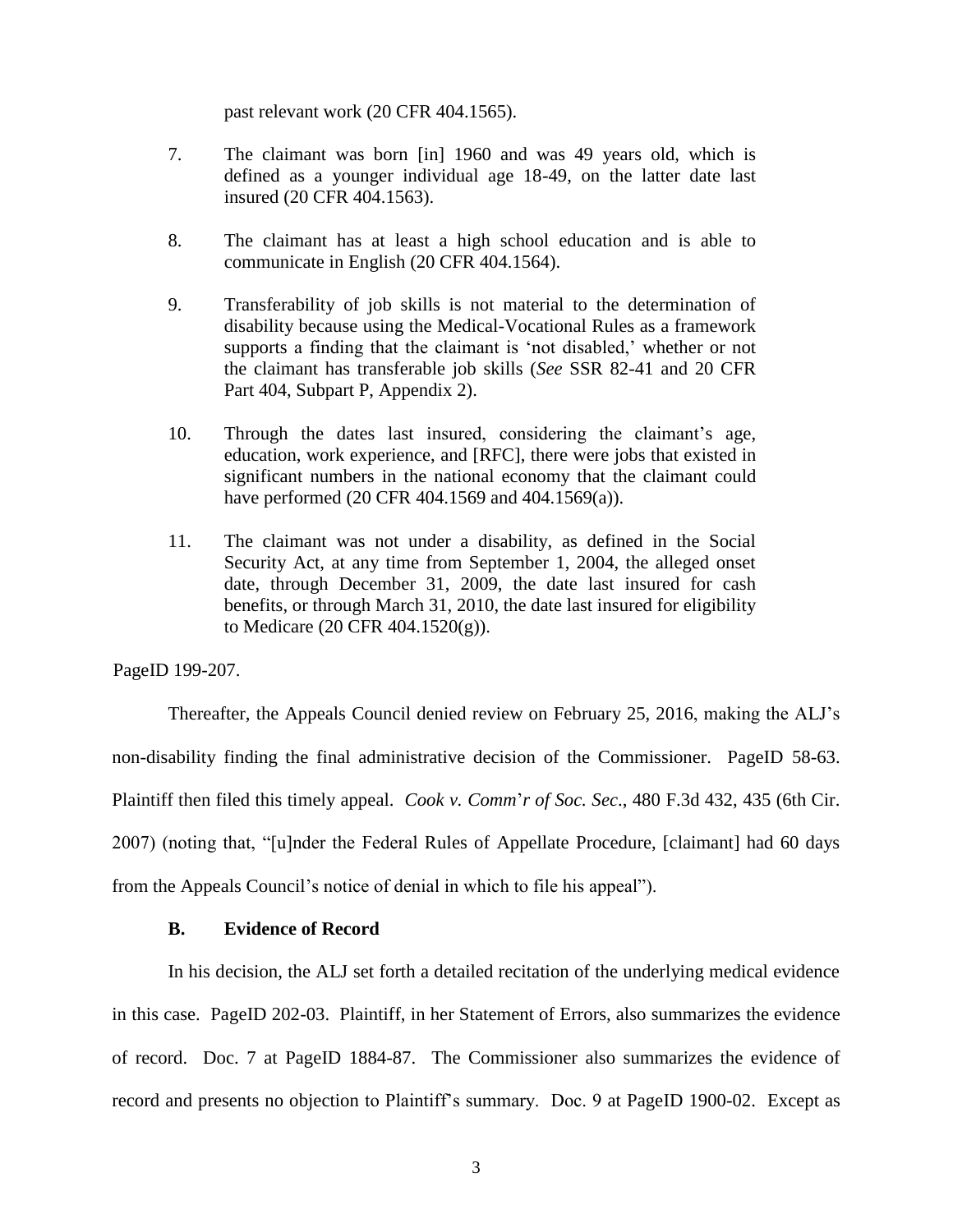past relevant work (20 CFR 404.1565).

- 7. The claimant was born [in] 1960 and was 49 years old, which is defined as a younger individual age 18-49, on the latter date last insured (20 CFR 404.1563).
- 8. The claimant has at least a high school education and is able to communicate in English (20 CFR 404.1564).
- 9. Transferability of job skills is not material to the determination of disability because using the Medical-Vocational Rules as a framework supports a finding that the claimant is 'not disabled,' whether or not the claimant has transferable job skills (*See* SSR 82-41 and 20 CFR Part 404, Subpart P, Appendix 2).
- 10. Through the dates last insured, considering the claimant's age, education, work experience, and [RFC], there were jobs that existed in significant numbers in the national economy that the claimant could have performed (20 CFR 404.1569 and 404.1569(a)).
- 11. The claimant was not under a disability, as defined in the Social Security Act, at any time from September 1, 2004, the alleged onset date, through December 31, 2009, the date last insured for cash benefits, or through March 31, 2010, the date last insured for eligibility to Medicare (20 CFR 404.1520(g)).

PageID 199-207.

Thereafter, the Appeals Council denied review on February 25, 2016, making the ALJ's non-disability finding the final administrative decision of the Commissioner. PageID 58-63. Plaintiff then filed this timely appeal. *Cook v. Comm*'*r of Soc. Sec*., 480 F.3d 432, 435 (6th Cir. 2007) (noting that, "[u]nder the Federal Rules of Appellate Procedure, [claimant] had 60 days from the Appeals Council's notice of denial in which to file his appeal").

### **B. Evidence of Record**

In his decision, the ALJ set forth a detailed recitation of the underlying medical evidence in this case. PageID 202-03. Plaintiff, in her Statement of Errors, also summarizes the evidence of record. Doc. 7 at PageID 1884-87. The Commissioner also summarizes the evidence of record and presents no objection to Plaintiff's summary. Doc. 9 at PageID 1900-02. Except as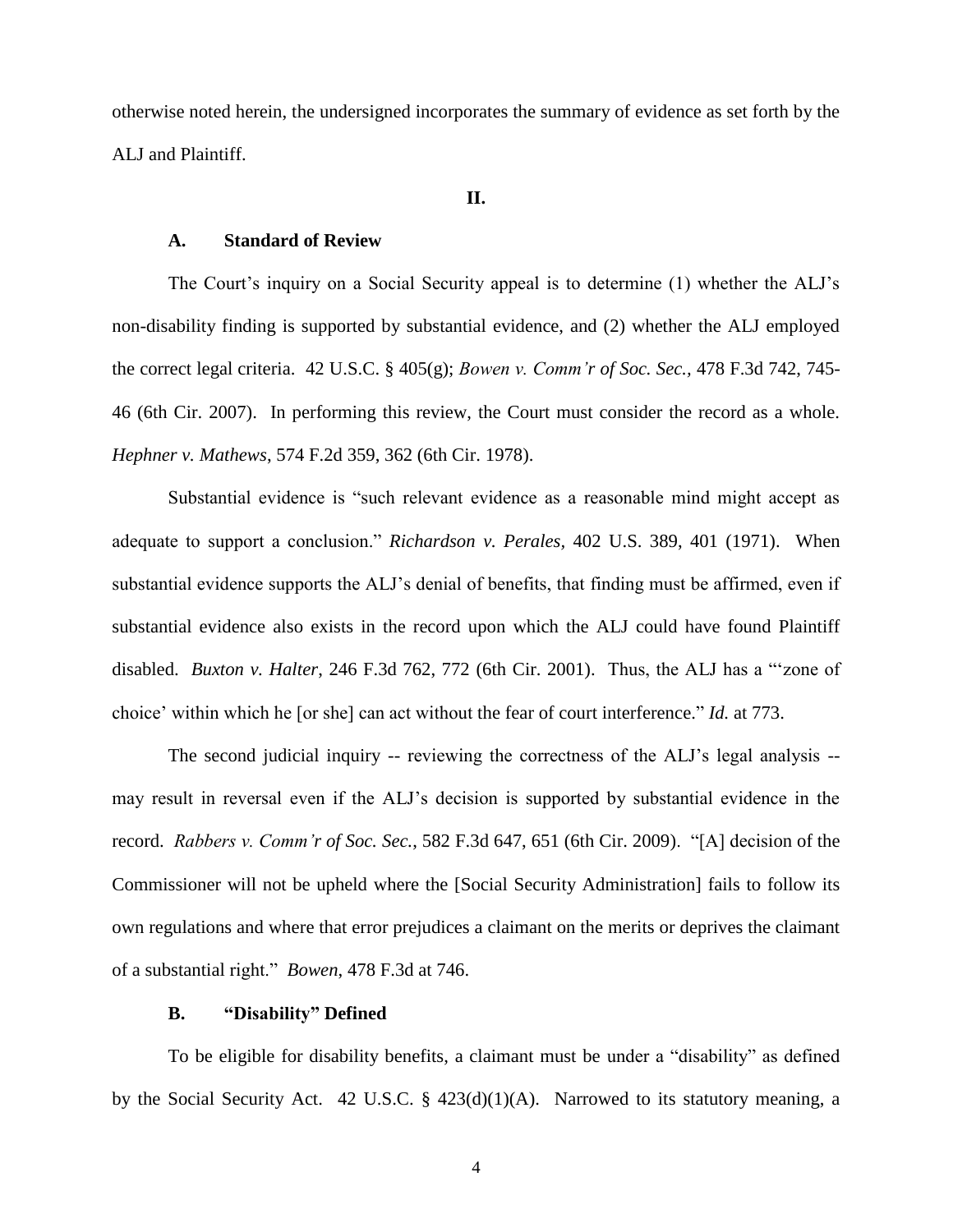otherwise noted herein, the undersigned incorporates the summary of evidence as set forth by the ALJ and Plaintiff.

### **II.**

#### **A. Standard of Review**

The Court's inquiry on a Social Security appeal is to determine (1) whether the ALJ's non-disability finding is supported by substantial evidence, and (2) whether the ALJ employed the correct legal criteria. [42 U.S.C. § 405\(g\);](http://www.westlaw.com/Link/Document/FullText?findType=L&pubNum=1000546&cite=42USCAS405&originatingDoc=I6e209fd0590111e68e80d394640dd07e&refType=SP&originationContext=document&vr=3.0&rs=cblt1.0&transitionType=DocumentItem&contextData=(sc.Search)#co_pp_16f4000091d86) *[Bowen v. Comm'r of Soc. Sec.,](http://www.westlaw.com/Link/Document/FullText?findType=Y&serNum=2011645982&pubNum=0000506&originatingDoc=I6e209fd0590111e68e80d394640dd07e&refType=RP&fi=co_pp_sp_506_745&originationContext=document&vr=3.0&rs=cblt1.0&transitionType=DocumentItem&contextData=(sc.Search)#co_pp_sp_506_745)* 478 F.3d 742, 745- [46 \(6th Cir. 2007\).](http://www.westlaw.com/Link/Document/FullText?findType=Y&serNum=2011645982&pubNum=0000506&originatingDoc=I6e209fd0590111e68e80d394640dd07e&refType=RP&fi=co_pp_sp_506_745&originationContext=document&vr=3.0&rs=cblt1.0&transitionType=DocumentItem&contextData=(sc.Search)#co_pp_sp_506_745) In performing this review, the Court must consider the record as a whole. *Hephner v. Mathews*[, 574 F.2d 359, 362 \(6th Cir. 1978\).](http://www.westlaw.com/Link/Document/FullText?findType=Y&serNum=1978103397&pubNum=0000350&originatingDoc=I6e209fd0590111e68e80d394640dd07e&refType=RP&fi=co_pp_sp_350_362&originationContext=document&vr=3.0&rs=cblt1.0&transitionType=DocumentItem&contextData=(sc.Search)#co_pp_sp_350_362)

Substantial evidence is "such relevant evidence as a reasonable mind might accept as adequate to support a conclusion." *Richardson v. Perales,* [402 U.S. 389, 401 \(1971\).](http://www.westlaw.com/Link/Document/FullText?findType=Y&serNum=1971127062&pubNum=0000780&originatingDoc=I6e209fd0590111e68e80d394640dd07e&refType=RP&fi=co_pp_sp_780_401&originationContext=document&vr=3.0&rs=cblt1.0&transitionType=DocumentItem&contextData=(sc.Search)#co_pp_sp_780_401) When substantial evidence supports the ALJ's denial of benefits, that finding must be affirmed, even if substantial evidence also exists in the record upon which the ALJ could have found Plaintiff disabled. *Buxton v. Halter*[, 246 F.3d 762, 772 \(6th Cir. 2001\).](http://www.westlaw.com/Link/Document/FullText?findType=Y&serNum=2001305423&pubNum=0000506&originatingDoc=I6e209fd0590111e68e80d394640dd07e&refType=RP&fi=co_pp_sp_506_772&originationContext=document&vr=3.0&rs=cblt1.0&transitionType=DocumentItem&contextData=(sc.Search)#co_pp_sp_506_772) Thus, the ALJ has a "'zone of choice' within which he [or she] can act without the fear of court interference." *Id.* [at 773.](http://www.westlaw.com/Link/Document/FullText?findType=Y&serNum=2001305423&pubNum=0000506&originatingDoc=I6e209fd0590111e68e80d394640dd07e&refType=RP&fi=co_pp_sp_506_773&originationContext=document&vr=3.0&rs=cblt1.0&transitionType=DocumentItem&contextData=(sc.Search)#co_pp_sp_506_773)

The second judicial inquiry -- reviewing the correctness of the ALJ's legal analysis - may result in reversal even if the ALJ's decision is supported by substantial evidence in the record. *Rabbers v. Comm'r of Soc. Sec.*[, 582 F.3d 647, 651 \(6th Cir. 2009\).](http://www.westlaw.com/Link/Document/FullText?findType=Y&serNum=2019951471&pubNum=0000506&originatingDoc=I6e209fd0590111e68e80d394640dd07e&refType=RP&fi=co_pp_sp_506_651&originationContext=document&vr=3.0&rs=cblt1.0&transitionType=DocumentItem&contextData=(sc.Search)#co_pp_sp_506_651) "[A] decision of the Commissioner will not be upheld where the [Social Security Administration] fails to follow its own regulations and where that error prejudices a claimant on the merits or deprives the claimant of a substantial right." *Bowen*[, 478 F.3d at 746.](http://www.westlaw.com/Link/Document/FullText?findType=Y&serNum=2011645982&pubNum=0000506&originatingDoc=I6e209fd0590111e68e80d394640dd07e&refType=RP&fi=co_pp_sp_506_746&originationContext=document&vr=3.0&rs=cblt1.0&transitionType=DocumentItem&contextData=(sc.Search)#co_pp_sp_506_746)

### **B. "Disability" Defined**

To be eligible for disability benefits, a claimant must be under a "disability" as defined by the Social Security Act. [42 U.S.C. § 423\(d\)\(1\)\(A\).](http://www.westlaw.com/Link/Document/FullText?findType=L&pubNum=1000546&cite=42USCAS423&originatingDoc=I6e209fd0590111e68e80d394640dd07e&refType=SP&originationContext=document&vr=3.0&rs=cblt1.0&transitionType=DocumentItem&contextData=(sc.Search)#co_pp_a7830000870a0) Narrowed to its statutory meaning, a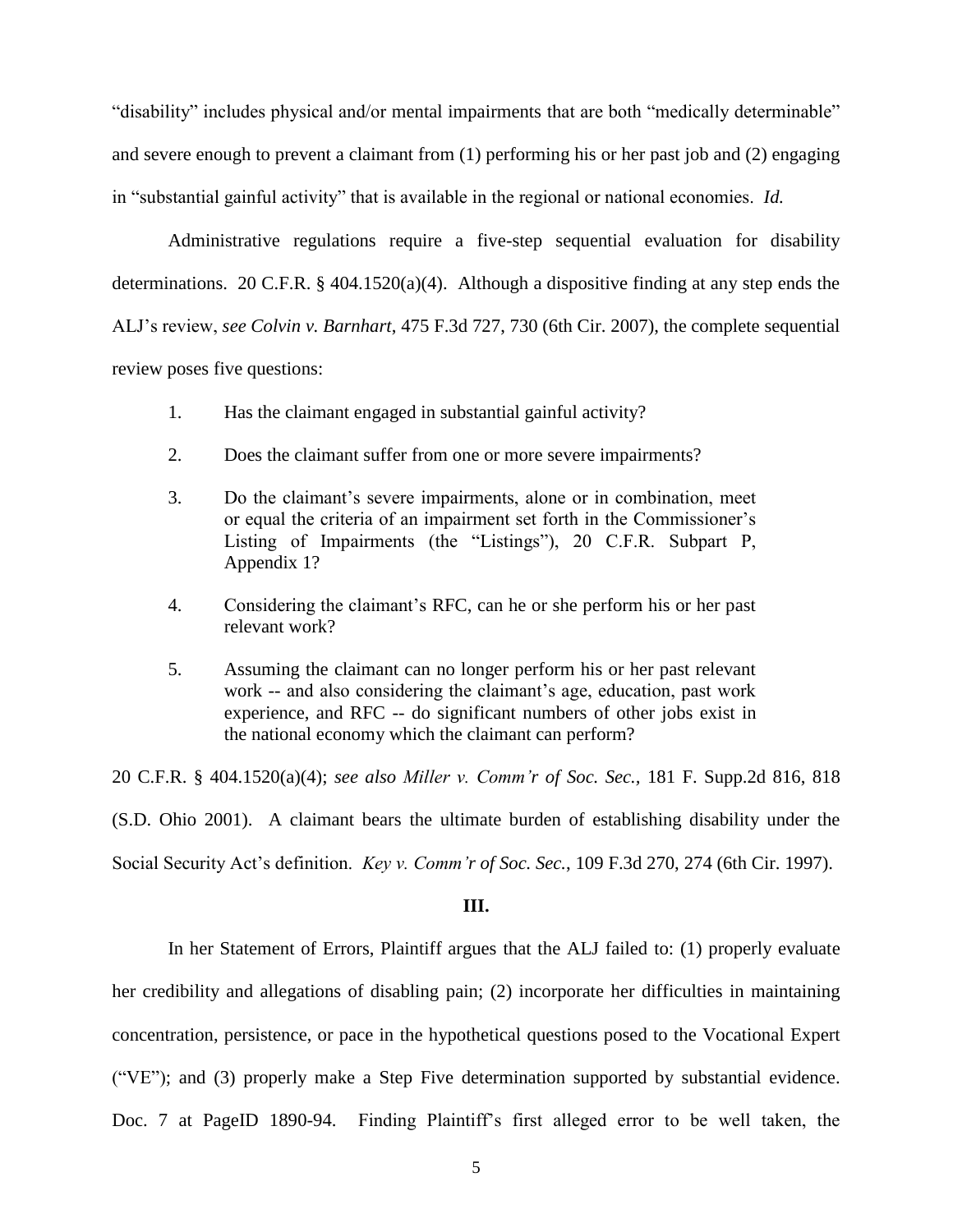"disability" includes physical and/or [mental impairments](http://www.westlaw.com/Link/Document/FullText?entityType=disease&entityId=Ic94ca545475411db9765f9243f53508a&originationContext=document&transitionType=DocumentItem&contextData=(sc.Default)&vr=3.0&rs=cblt1.0) that are both "medically determinable" and severe enough to prevent a claimant from (1) performing his or her past job and (2) engaging in "substantial gainful activity" that is available in the regional or national economies. *Id.*

Administrative regulations require a five-step sequential evaluation for disability determinations. [20 C.F.R. § 404.1520\(a\)\(4\).](http://www.westlaw.com/Link/Document/FullText?findType=L&pubNum=1000547&cite=20CFRS404.1520&originatingDoc=I6e209fd0590111e68e80d394640dd07e&refType=LQ&originationContext=document&vr=3.0&rs=cblt1.0&transitionType=DocumentItem&contextData=(sc.Search)) Although a dispositive finding at any step ends the ALJ's review, *see Colvin v. Barnhart*[, 475 F.3d 727, 730 \(6th Cir. 2007\),](http://www.westlaw.com/Link/Document/FullText?findType=Y&serNum=2011402905&pubNum=0000506&originatingDoc=I6e209fd0590111e68e80d394640dd07e&refType=RP&fi=co_pp_sp_506_730&originationContext=document&vr=3.0&rs=cblt1.0&transitionType=DocumentItem&contextData=(sc.Search)#co_pp_sp_506_730) the complete sequential review poses five questions:

- 1. Has the claimant engaged in substantial gainful activity?
- 2. Does the claimant suffer from one or more severe impairments?
- 3. Do the claimant's severe impairments, alone or in combination, meet or equal the criteria of an impairment set forth in the Commissioner's Listing of Impairments (the "Listings"), 20 C.F.R. Subpart P, [Appendix 1?](http://www.westlaw.com/Link/Document/FullText?findType=L&pubNum=1000547&cite=20CFRPT404SUBPTPAPP1&originatingDoc=I6e209fd0590111e68e80d394640dd07e&refType=LQ&originationContext=document&vr=3.0&rs=cblt1.0&transitionType=DocumentItem&contextData=(sc.Search))
- 4. Considering the claimant's RFC, can he or she perform his or her past relevant work?
- 5. Assuming the claimant can no longer perform his or her past relevant work -- and also considering the claimant's age, education, past work experience, and RFC -- do significant numbers of other jobs exist in the national economy which the claimant can perform?

[20 C.F.R. § 404.1520\(a\)\(4\);](http://www.westlaw.com/Link/Document/FullText?findType=L&pubNum=1000547&cite=20CFRS404.1520&originatingDoc=I6e209fd0590111e68e80d394640dd07e&refType=LQ&originationContext=document&vr=3.0&rs=cblt1.0&transitionType=DocumentItem&contextData=(sc.Search)) *see also [Miller v. Comm'r of Soc. Sec.,](http://www.westlaw.com/Link/Document/FullText?findType=Y&serNum=2002042909&pubNum=0004637&originatingDoc=I6e209fd0590111e68e80d394640dd07e&refType=RP&fi=co_pp_sp_4637_818&originationContext=document&vr=3.0&rs=cblt1.0&transitionType=DocumentItem&contextData=(sc.Search)#co_pp_sp_4637_818)* 181 F. Supp.2d 816, 818 [\(S.D. Ohio 2001\).](http://www.westlaw.com/Link/Document/FullText?findType=Y&serNum=2002042909&pubNum=0004637&originatingDoc=I6e209fd0590111e68e80d394640dd07e&refType=RP&fi=co_pp_sp_4637_818&originationContext=document&vr=3.0&rs=cblt1.0&transitionType=DocumentItem&contextData=(sc.Search)#co_pp_sp_4637_818) A claimant bears the ultimate burden of establishing disability under the Social Security Act's definition. *Key v. Comm'r of Soc. Sec.*[, 109 F.3d 270, 274 \(6th Cir. 1997\).](http://www.westlaw.com/Link/Document/FullText?findType=Y&serNum=1997075265&pubNum=0000506&originatingDoc=I6e209fd0590111e68e80d394640dd07e&refType=RP&fi=co_pp_sp_506_274&originationContext=document&vr=3.0&rs=cblt1.0&transitionType=DocumentItem&contextData=(sc.Search)#co_pp_sp_506_274)

#### **III.**

In her Statement of Errors, Plaintiff argues that the ALJ failed to: (1) properly evaluate her credibility and allegations of disabling pain; (2) incorporate her difficulties in maintaining concentration, persistence, or pace in the hypothetical questions posed to the Vocational Expert ("VE"); and (3) properly make a Step Five determination supported by substantial evidence. Doc. 7 at PageID 1890-94. Finding Plaintiff's first alleged error to be well taken, the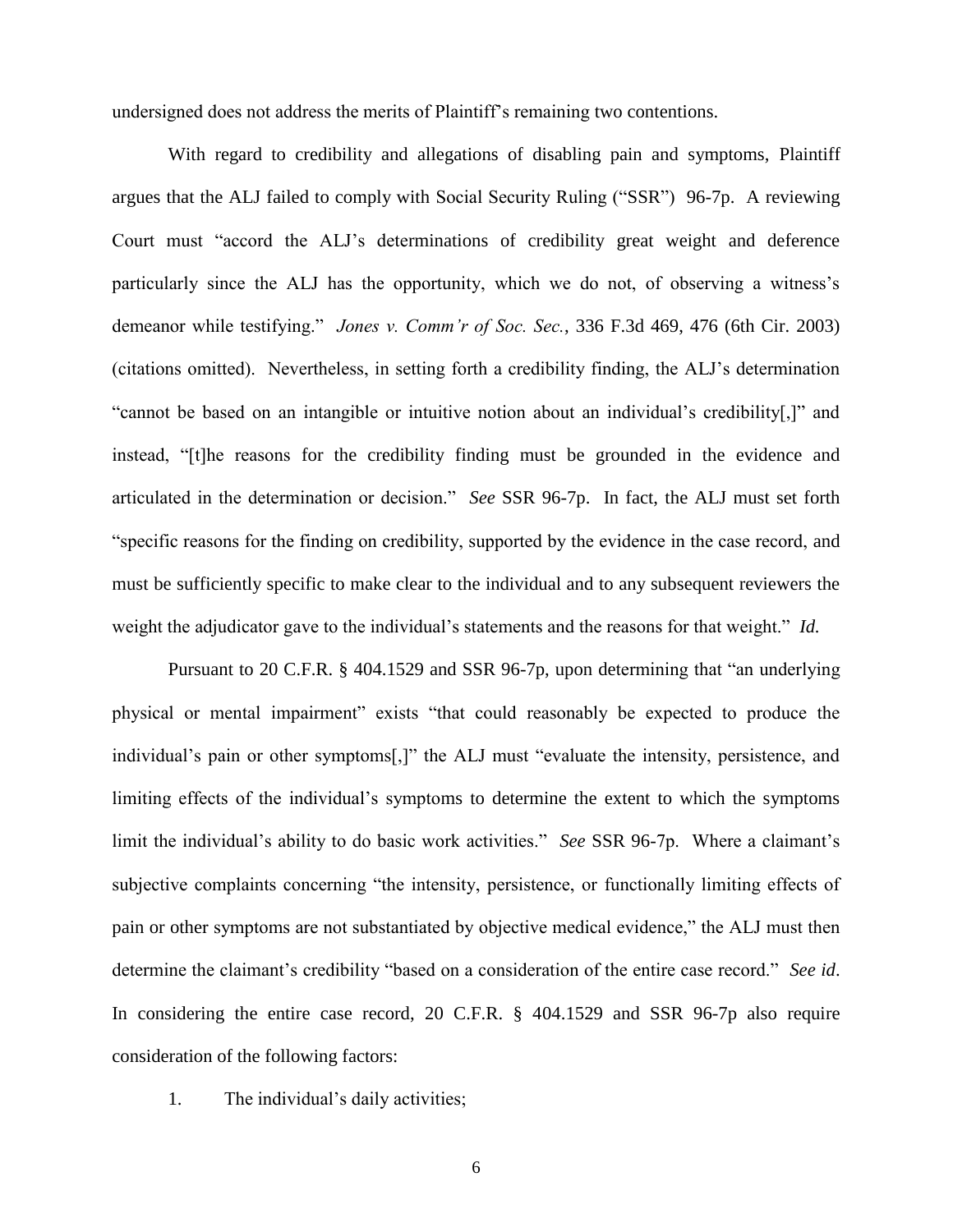undersigned does not address the merits of Plaintiff's remaining two contentions.

With regard to credibility and allegations of disabling pain and symptoms, Plaintiff argues that the ALJ failed to comply with Social Security Ruling ("SSR") 96-7p. A reviewing Court must "accord the ALJ's determinations of credibility great weight and deference particularly since the ALJ has the opportunity, which we do not, of observing a witness's demeanor while testifying." *Jones v. Comm'r of Soc. Sec.*, 336 F.3d 469, 476 (6th Cir. 2003) (citations omitted). Nevertheless, in setting forth a credibility finding, the ALJ's determination "cannot be based on an intangible or intuitive notion about an individual's credibility[,]" and instead, "[t]he reasons for the credibility finding must be grounded in the evidence and articulated in the determination or decision." *See* SSR 96-7p. In fact, the ALJ must set forth "specific reasons for the finding on credibility, supported by the evidence in the case record, and must be sufficiently specific to make clear to the individual and to any subsequent reviewers the weight the adjudicator gave to the individual's statements and the reasons for that weight." *Id.*

Pursuant to 20 C.F.R. § 404.1529 and SSR 96-7p, upon determining that "an underlying physical or mental impairment" exists "that could reasonably be expected to produce the individual's pain or other symptoms[,]" the ALJ must "evaluate the intensity, persistence, and limiting effects of the individual's symptoms to determine the extent to which the symptoms limit the individual's ability to do basic work activities." *See* SSR 96-7p. Where a claimant's subjective complaints concerning "the intensity, persistence, or functionally limiting effects of pain or other symptoms are not substantiated by objective medical evidence," the ALJ must then determine the claimant's credibility "based on a consideration of the entire case record." *See id*. In considering the entire case record, 20 C.F.R. § 404.1529 and SSR 96-7p also require consideration of the following factors:

1. The individual's daily activities;

6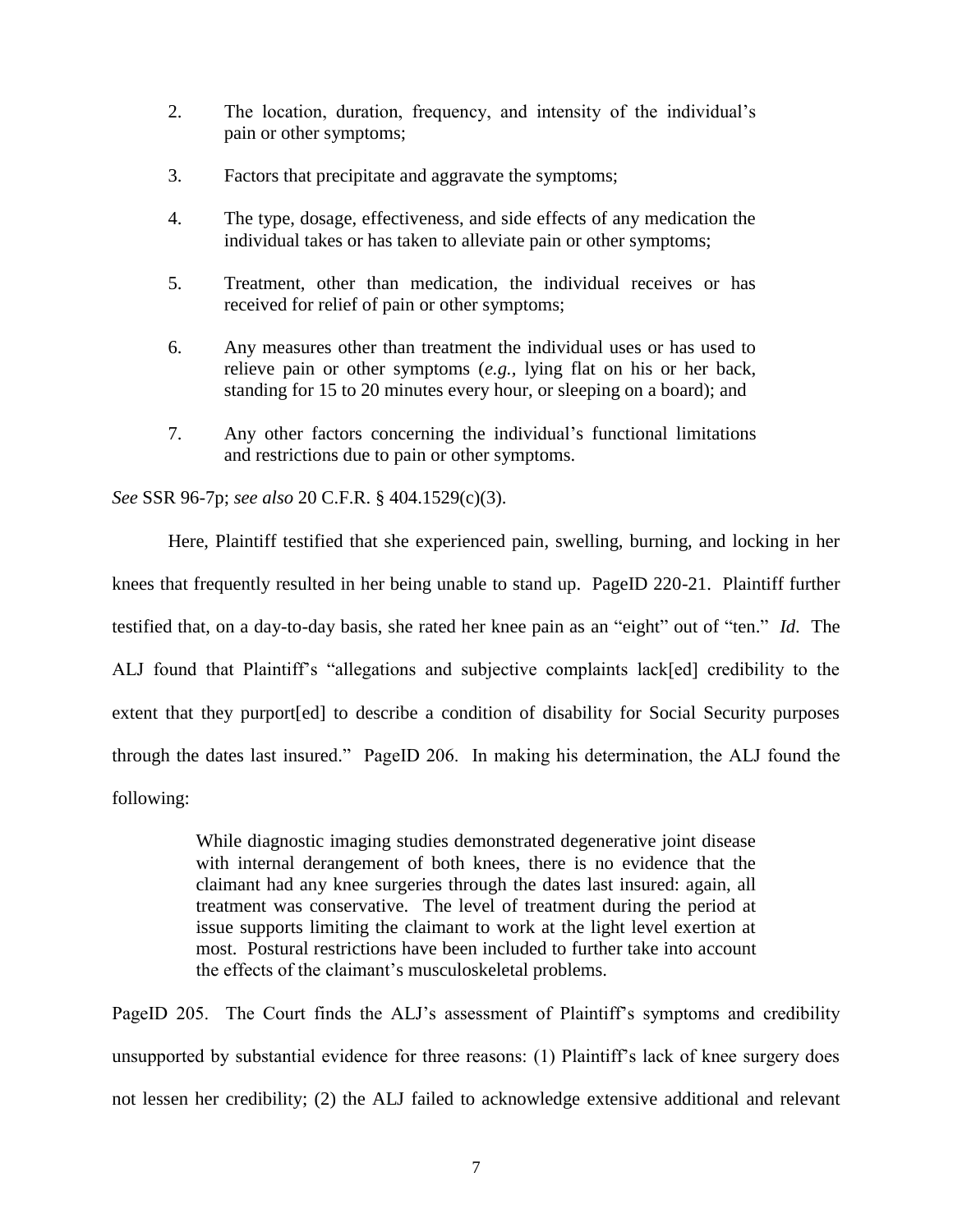- 2. The location, duration, frequency, and intensity of the individual's pain or other symptoms;
- 3. Factors that precipitate and aggravate the symptoms;
- 4. The type, dosage, effectiveness, and side effects of any medication the individual takes or has taken to alleviate pain or other symptoms;
- 5. Treatment, other than medication, the individual receives or has received for relief of pain or other symptoms;
- 6. Any measures other than treatment the individual uses or has used to relieve pain or other symptoms (*e.g.,* lying flat on his or her back, standing for 15 to 20 minutes every hour, or sleeping on a board); and
- 7. Any other factors concerning the individual's functional limitations and restrictions due to pain or other symptoms.

*See* SSR 96-7p; *see also* 20 C.F.R. § 404.1529(c)(3).

Here, Plaintiff testified that she experienced pain, swelling, burning, and locking in her knees that frequently resulted in her being unable to stand up. PageID 220-21. Plaintiff further testified that, on a day-to-day basis, she rated her knee pain as an "eight" out of "ten." *Id*. The ALJ found that Plaintiff's "allegations and subjective complaints lack[ed] credibility to the extent that they purport[ed] to describe a condition of disability for Social Security purposes through the dates last insured." PageID 206. In making his determination, the ALJ found the following:

> While diagnostic imaging studies demonstrated degenerative joint disease with internal derangement of both knees, there is no evidence that the claimant had any knee surgeries through the dates last insured: again, all treatment was conservative. The level of treatment during the period at issue supports limiting the claimant to work at the light level exertion at most. Postural restrictions have been included to further take into account the effects of the claimant's musculoskeletal problems.

PageID 205. The Court finds the ALJ's assessment of Plaintiff's symptoms and credibility unsupported by substantial evidence for three reasons: (1) Plaintiff's lack of knee surgery does not lessen her credibility; (2) the ALJ failed to acknowledge extensive additional and relevant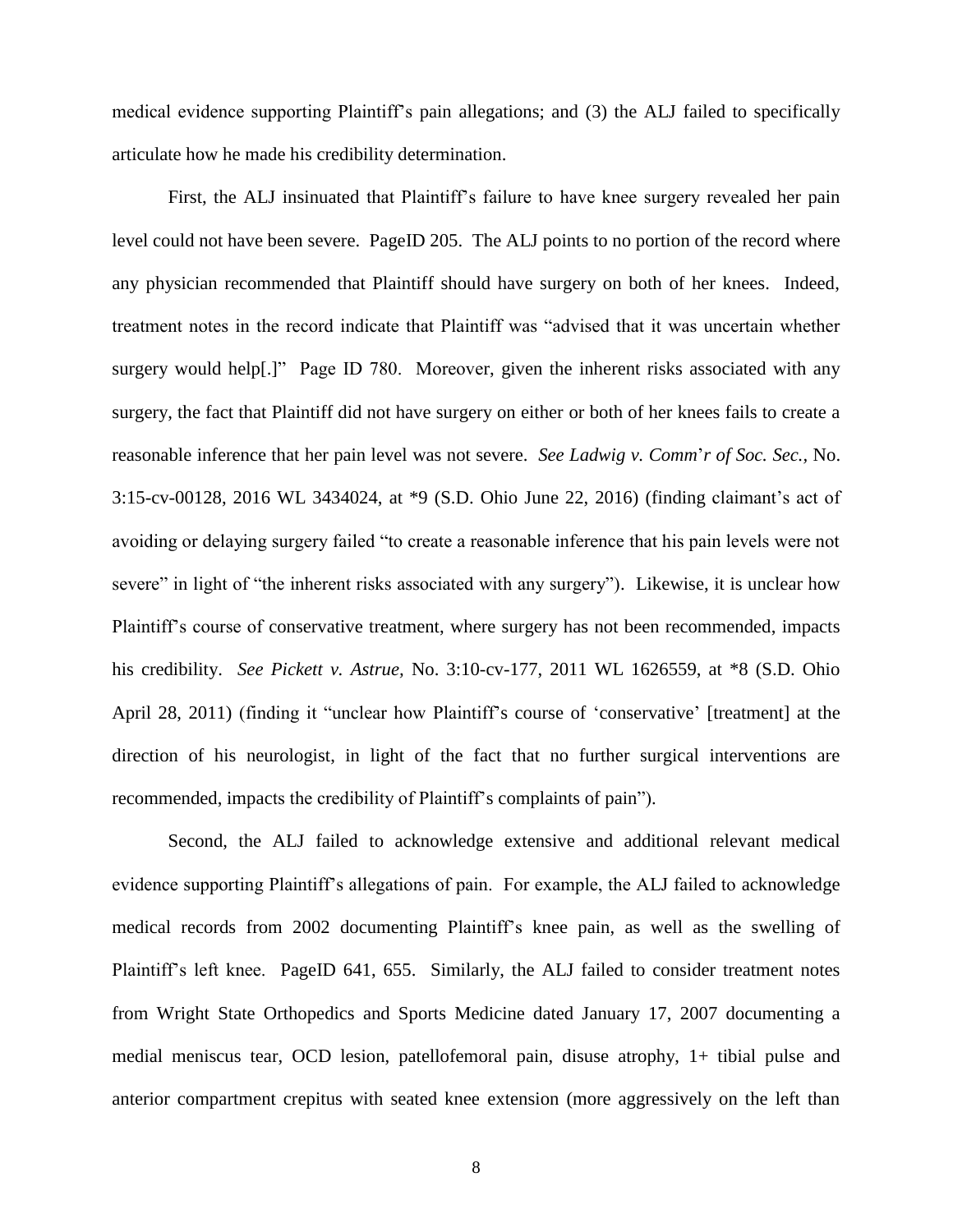medical evidence supporting Plaintiff's pain allegations; and (3) the ALJ failed to specifically articulate how he made his credibility determination.

First, the ALJ insinuated that Plaintiff's failure to have knee surgery revealed her pain level could not have been severe. PageID 205. The ALJ points to no portion of the record where any physician recommended that Plaintiff should have surgery on both of her knees. Indeed, treatment notes in the record indicate that Plaintiff was "advised that it was uncertain whether surgery would help[.]" Page ID 780. Moreover, given the inherent risks associated with any surgery, the fact that Plaintiff did not have surgery on either or both of her knees fails to create a reasonable inference that her pain level was not severe. *See Ladwig v. Comm*'*r of Soc. Sec.,* No. 3:15-cv-00128, 2016 WL 3434024, at \*9 (S.D. Ohio June 22, 2016) (finding claimant's act of avoiding or delaying surgery failed "to create a reasonable inference that his pain levels were not severe" in light of "the inherent risks associated with any surgery"). Likewise, it is unclear how Plaintiff's course of conservative treatment, where surgery has not been recommended, impacts his credibility. *See Pickett v. Astrue,* No. 3:10-cv-177, 2011 WL 1626559, at \*8 (S.D. Ohio April 28, 2011) (finding it "unclear how Plaintiff's course of 'conservative' [treatment] at the direction of his neurologist, in light of the fact that no further surgical interventions are recommended, impacts the credibility of Plaintiff's complaints of pain").

Second, the ALJ failed to acknowledge extensive and additional relevant medical evidence supporting Plaintiff's allegations of pain. For example, the ALJ failed to acknowledge medical records from 2002 documenting Plaintiff's knee pain, as well as the swelling of Plaintiff's left knee. PageID 641, 655. Similarly, the ALJ failed to consider treatment notes from Wright State Orthopedics and Sports Medicine dated January 17, 2007 documenting a medial meniscus tear, OCD lesion, patellofemoral pain, disuse atrophy, 1+ tibial pulse and anterior compartment crepitus with seated knee extension (more aggressively on the left than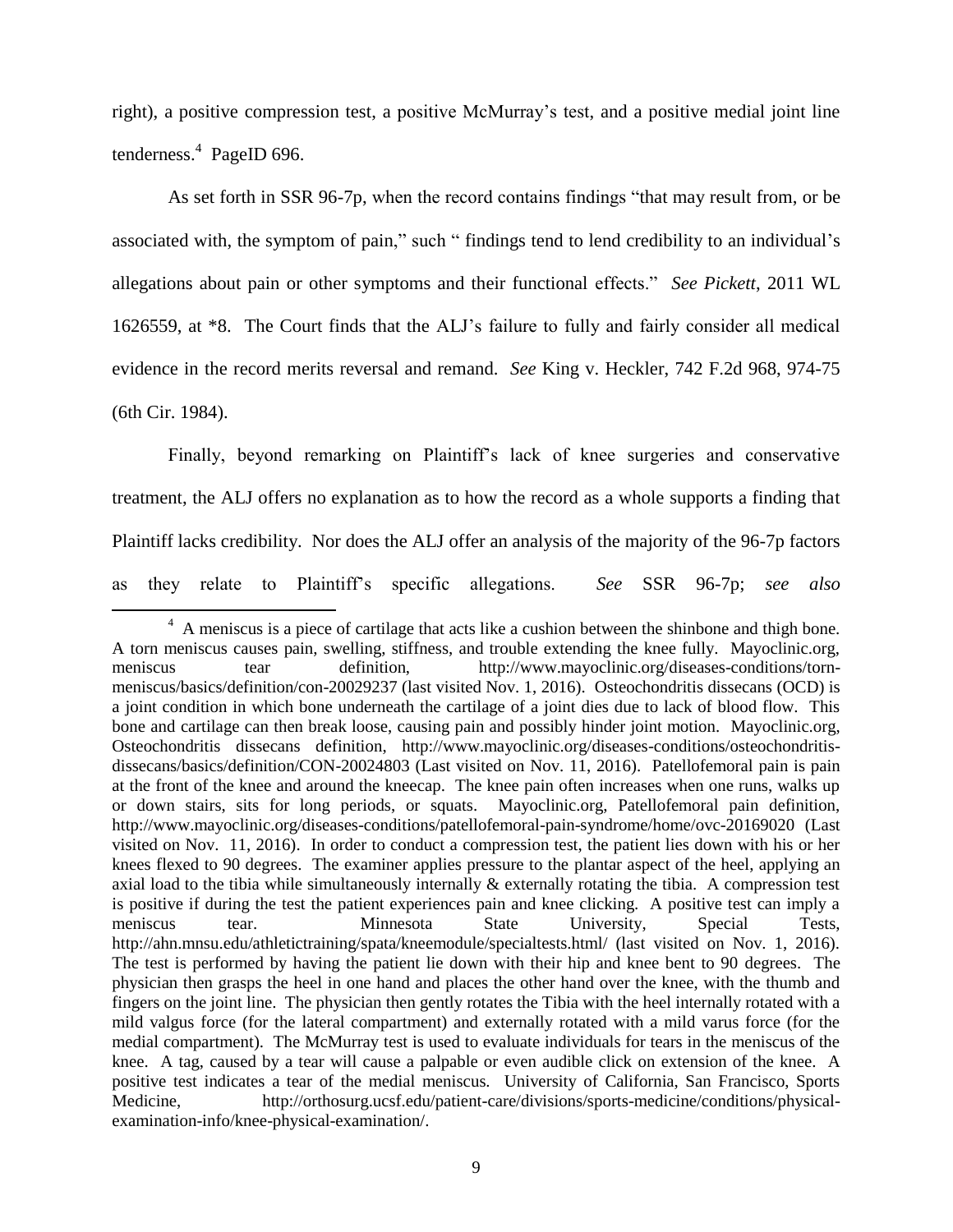right), a positive compression test, a positive McMurray's test, and a positive medial joint line tenderness.<sup>4</sup> PageID 696.

As set forth in SSR 96-7p, when the record contains findings "that may result from, or be associated with, the symptom of pain," such " findings tend to lend credibility to an individual's allegations about pain or other symptoms and their functional effects." *See Pickett*, 2011 WL 1626559, at \*8. The Court finds that the ALJ's failure to fully and fairly consider all medical evidence in the record merits reversal and remand. *See* King v. Heckler, 742 F.2d 968, 974-75 (6th Cir. 1984).

Finally, beyond remarking on Plaintiff's lack of knee surgeries and conservative treatment, the ALJ offers no explanation as to how the record as a whole supports a finding that Plaintiff lacks credibility. Nor does the ALJ offer an analysis of the majority of the 96-7p factors as they relate to Plaintiff's specific allegations. *See* SSR 96-7p; *see also*

 $\overline{\phantom{a}}$ 

<sup>&</sup>lt;sup>4</sup> A meniscus is a piece of cartilage that acts like a cushion between the shinbone and thigh bone. A torn meniscus causes pain, swelling, stiffness, and trouble extending the knee fully. Mayoclinic.org, meniscus tear definition, http://www.mayoclinic.org/diseases-conditions/tornmeniscus/basics/definition/con-20029237 (last visited Nov. 1, 2016). Osteochondritis dissecans (OCD) is a joint condition in which bone underneath the cartilage of a joint dies due to lack of blood flow. This bone and cartilage can then break loose, causing pain and possibly hinder joint motion. Mayoclinic.org, Osteochondritis dissecans definition, http://www.mayoclinic.org/diseases-conditions/osteochondritisdissecans/basics/definition/CON-20024803 (Last visited on Nov. 11, 2016). Patellofemoral pain is pain at the front of the knee and around the kneecap. The knee pain often increases when one runs, walks up or down stairs, sits for long periods, or squats. Mayoclinic.org, Patellofemoral pain definition, http://www.mayoclinic.org/diseases-conditions/patellofemoral-pain-syndrome/home/ovc-20169020 (Last visited on Nov. 11, 2016). In order to conduct a compression test, the patient lies down with his or her knees flexed to 90 degrees. The examiner applies pressure to the plantar aspect of the heel, applying an axial load to the tibia while simultaneously internally & externally rotating the tibia. A compression test is positive if during the test the patient experiences pain and knee clicking. A positive test can imply a meniscus tear. Minnesota State University, Special Tests, http://ahn.mnsu.edu/athletictraining/spata/kneemodule/specialtests.html/ (last visited on Nov. 1, 2016). The test is performed by having the patient lie down with their hip and knee bent to 90 degrees. The physician then grasps the heel in one hand and places the other hand over the knee, with the thumb and fingers on the joint line. The physician then gently rotates the Tibia with the heel internally rotated with a mild valgus force (for the lateral compartment) and externally rotated with a mild varus force (for the medial compartment). The McMurray test is used to evaluate individuals for tears in the meniscus of the knee. A tag, caused by a tear will cause a palpable or even audible click on extension of the knee. A positive test indicates a tear of the medial meniscus. University of California, San Francisco, Sports Medicine, http://orthosurg.ucsf.edu/patient-care/divisions/sports-medicine/conditions/physicalexamination-info/knee-physical-examination/.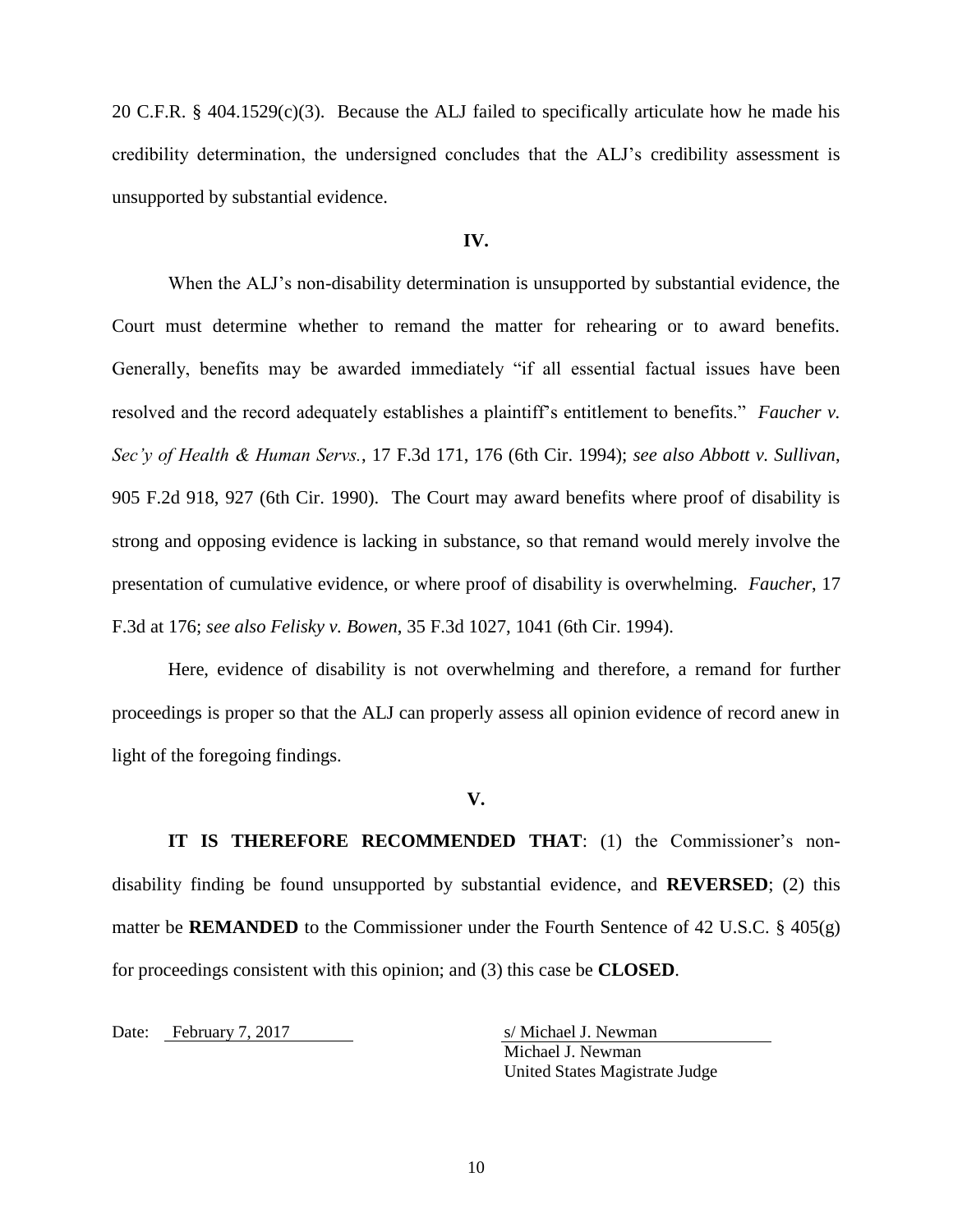20 C.F.R. § 404.1529(c)(3). Because the ALJ failed to specifically articulate how he made his credibility determination, the undersigned concludes that the ALJ's credibility assessment is unsupported by substantial evidence.

### **IV.**

When the ALJ's non-disability determination is unsupported by substantial evidence, the Court must determine whether to remand the matter for rehearing or to award benefits. Generally, benefits may be awarded immediately "if all essential factual issues have been resolved and the record adequately establishes a plaintiff's entitlement to benefits." *Faucher v. Sec'y of Health & Human Servs.*, 17 F.3d 171, 176 (6th Cir. 1994); *see also Abbott v. Sullivan*, 905 F.2d 918, 927 (6th Cir. 1990). The Court may award benefits where proof of disability is strong and opposing evidence is lacking in substance, so that remand would merely involve the presentation of cumulative evidence, or where proof of disability is overwhelming. *Faucher*, 17 F.3d at 176; *see also Felisky v. Bowen*, 35 F.3d 1027, 1041 (6th Cir. 1994).

Here, evidence of disability is not overwhelming and therefore, a remand for further proceedings is proper so that the ALJ can properly assess all opinion evidence of record anew in light of the foregoing findings.

### **V.**

**IT IS THEREFORE RECOMMENDED THAT**: (1) the Commissioner's nondisability finding be found unsupported by substantial evidence, and **REVERSED**; (2) this matter be **REMANDED** to the Commissioner under the Fourth Sentence of 42 U.S.C. § 405(g) for proceedings consistent with this opinion; and (3) this case be **CLOSED**.

Date: February 7, 2017 s/ Michael J. Newman

Michael J. Newman United States Magistrate Judge